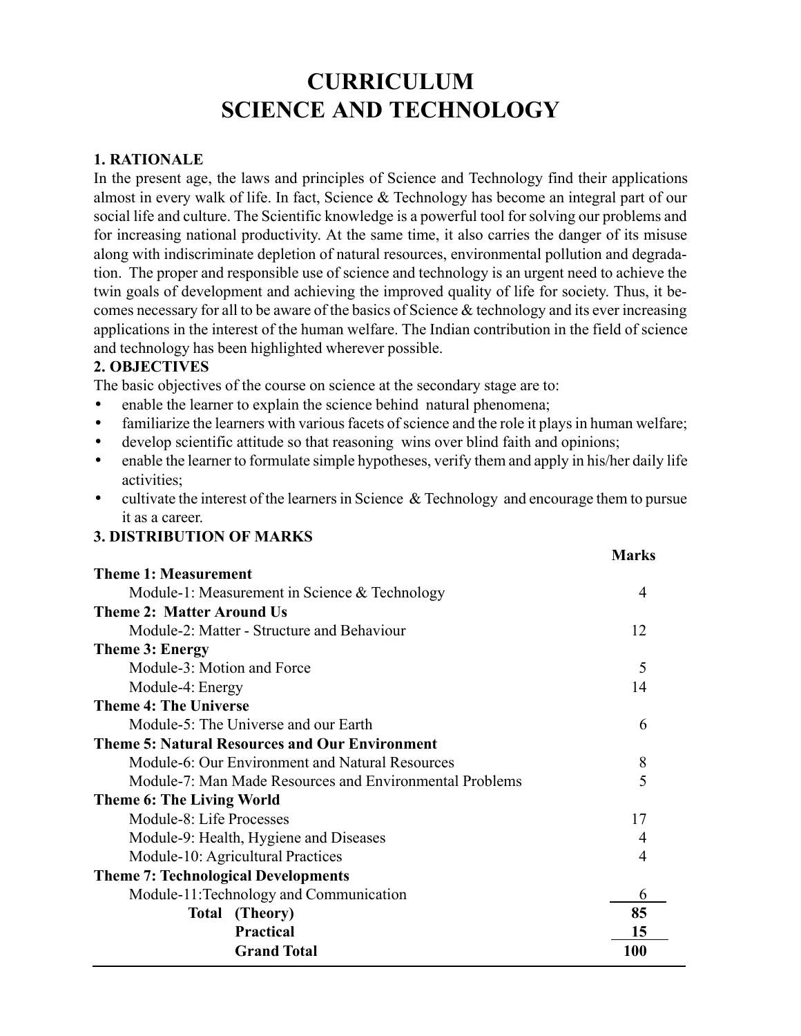# CURRICULUM SCIENCE AND TECHNOLOGY

#### 1. RATIONALE

In the present age, the laws and principles of Science and Technology find their applications almost in every walk of life. In fact, Science & Technology has become an integral part of our social life and culture. The Scientific knowledge is a powerful tool for solving our problems and for increasing national productivity. At the same time, it also carries the danger of its misuse along with indiscriminate depletion of natural resources, environmental pollution and degradation. The proper and responsible use of science and technology is an urgent need to achieve the twin goals of development and achieving the improved quality of life for society. Thus, it becomes necessary for all to be aware of the basics of Science & technology and its ever increasing applications in the interest of the human welfare. The Indian contribution in the field of science and technology has been highlighted wherever possible.

## 2. OBJECTIVES

The basic objectives of the course on science at the secondary stage are to:

- enable the learner to explain the science behind natural phenomena;
- familiarize the learners with various facets of science and the role it plays in human welfare;
- develop scientific attitude so that reasoning wins over blind faith and opinions;
- enable the learner to formulate simple hypotheses, verify them and apply in his/her daily life activities;
- cultivate the interest of the learners in Science & Technology and encourage them to pursue it as a career.

#### 3. DISTRIBUTION OF MARKS

|                                                         | <b>Marks</b> |
|---------------------------------------------------------|--------------|
| <b>Theme 1: Measurement</b>                             |              |
| Module-1: Measurement in Science & Technology           | 4            |
| <b>Theme 2: Matter Around Us</b>                        |              |
| Module-2: Matter - Structure and Behaviour              | 12           |
| <b>Theme 3: Energy</b>                                  |              |
| Module-3: Motion and Force                              | 5            |
| Module-4: Energy                                        | 14           |
| <b>Theme 4: The Universe</b>                            |              |
| Module-5: The Universe and our Earth                    | 6            |
| <b>Theme 5: Natural Resources and Our Environment</b>   |              |
| Module-6: Our Environment and Natural Resources         | 8            |
| Module-7: Man Made Resources and Environmental Problems | 5            |
| <b>Theme 6: The Living World</b>                        |              |
| Module-8: Life Processes                                | 17           |
| Module-9: Health, Hygiene and Diseases                  |              |
| Module-10: Agricultural Practices                       | 4            |
| <b>Theme 7: Technological Developments</b>              |              |
| Module-11: Technology and Communication                 | 6            |
| Total (Theory)                                          | 85           |
| <b>Practical</b>                                        | 15           |
| <b>Grand Total</b>                                      | 100          |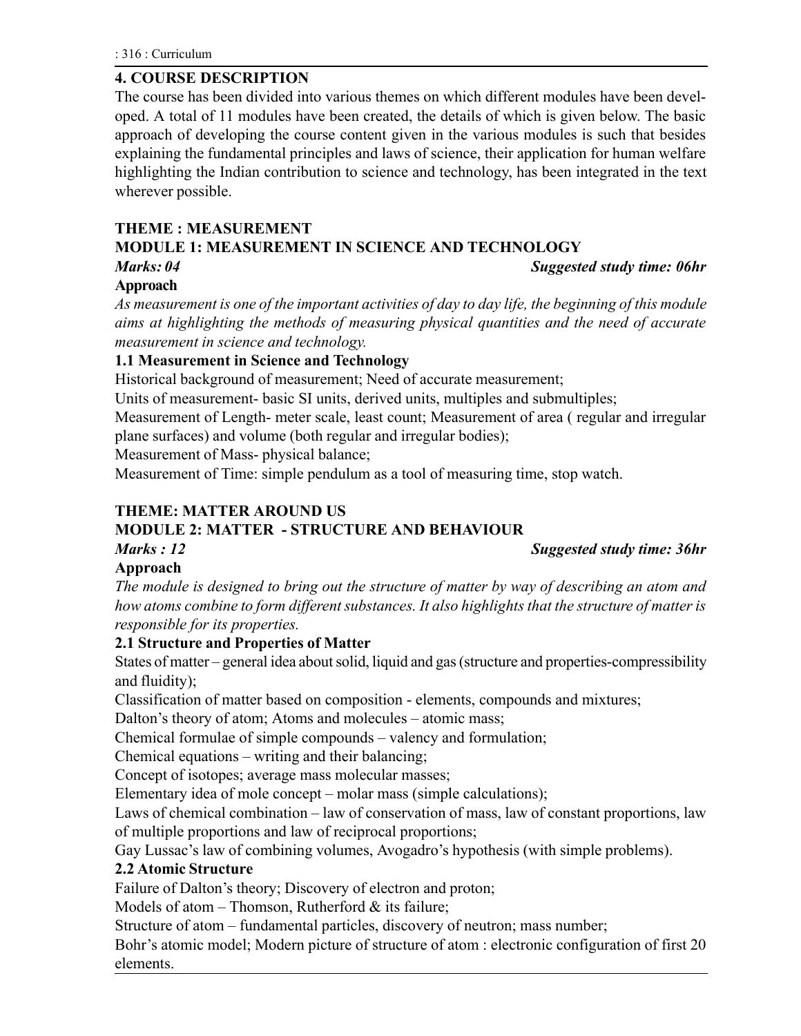## 4. COURSE DESCRIPTION

The course has been divided into various themes on which different modules have been developed. A total of 11 modules have been created, the details of which is given below. The basic approach of developing the course content given in the various modules is such that besides explaining the fundamental principles and laws of science, their application for human welfare highlighting the Indian contribution to science and technology, has been integrated in the text wherever possible.

## THEME : MEASUREMENT

## MODULE 1: MEASUREMENT IN SCIENCE AND TECHNOLOGY

Marks: 04 Suggested study time: 06hr

## Approach

As measurement is one of the important activities of day to day life, the beginning of this module aims at highlighting the methods of measuring physical quantities and the need of accurate measurement in science and technology.

## 1.1 Measurement in Science and Technology

Historical background of measurement; Need of accurate measurement;

Units of measurement- basic SI units, derived units, multiples and submultiples;

Measurement of Length- meter scale, least count; Measurement of area ( regular and irregular plane surfaces) and volume (both regular and irregular bodies);

Measurement of Mass- physical balance;

Measurement of Time: simple pendulum as a tool of measuring time, stop watch.

## THEME: MATTER AROUND US

## MODULE 2: MATTER - STRUCTURE AND BEHAVIOUR

Marks : 12 Suggested study time: 36hr

## Approach

The module is designed to bring out the structure of matter by way of describing an atom and how atoms combine to form different substances. It also highlights that the structure of matter is responsible for its properties.

#### 2.1 Structure and Properties of Matter

States of matter – general idea about solid, liquid and gas (structure and properties-compressibility and fluidity);

Classification of matter based on composition - elements, compounds and mixtures;

Dalton's theory of atom; Atoms and molecules – atomic mass;

Chemical formulae of simple compounds – valency and formulation;

Chemical equations  $-$  writing and their balancing;

Concept of isotopes; average mass molecular masses;

Elementary idea of mole concept  $-$  molar mass (simple calculations);

Laws of chemical combination – law of conservation of mass, law of constant proportions, law of multiple proportions and law of reciprocal proportions;

Gay Lussac's law of combining volumes, Avogadro's hypothesis (with simple problems).

#### 2.2 Atomic Structure

Failure of Dalton's theory; Discovery of electron and proton;

Models of atom  $-$  Thomson, Rutherford  $\&$  its failure;

Structure of atom – fundamental particles, discovery of neutron; mass number;

Bohr's atomic model; Modern picture of structure of atom : electronic configuration of first 20 elements.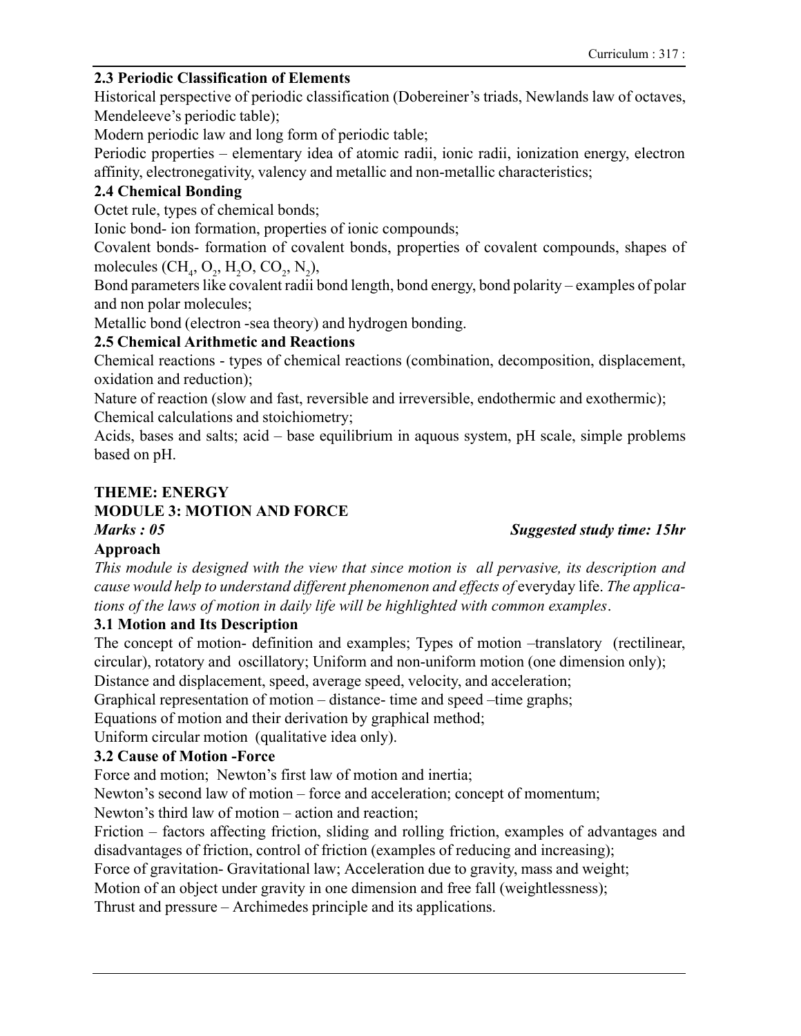### 2.3 Periodic Classification of Elements

Historical perspective of periodic classification (Dobereiner's triads, Newlands law of octaves, Mendeleeve's periodic table);

Modern periodic law and long form of periodic table;

Periodic properties – elementary idea of atomic radii, ionic radii, ionization energy, electron affinity, electronegativity, valency and metallic and non-metallic characteristics;

## 2.4 Chemical Bonding

Octet rule, types of chemical bonds;

Ionic bond- ion formation, properties of ionic compounds;

Covalent bonds- formation of covalent bonds, properties of covalent compounds, shapes of molecules  $(CH_4, O_2, H_2O, CO_2, N_2),$ 

Bond parameters like covalent radii bond length, bond energy, bond polarity – examples of polar and non polar molecules;

Metallic bond (electron -sea theory) and hydrogen bonding.

## 2.5 Chemical Arithmetic and Reactions

Chemical reactions - types of chemical reactions (combination, decomposition, displacement, oxidation and reduction);

Nature of reaction (slow and fast, reversible and irreversible, endothermic and exothermic); Chemical calculations and stoichiometry;

Acids, bases and salts; acid  $-\text{base equilibrium}$  in aquous system, pH scale, simple problems based on pH.

## THEME: ENERGY

## MODULE 3: MOTION AND FORCE

## Approach

This module is designed with the view that since motion is all pervasive, its description and cause would help to understand different phenomenon and effects of everyday life. The applications of the laws of motion in daily life will be highlighted with common examples.

## 3.1 Motion and Its Description

The concept of motion- definition and examples; Types of motion -translatory (rectilinear, circular), rotatory and oscillatory; Uniform and non-uniform motion (one dimension only);

Distance and displacement, speed, average speed, velocity, and acceleration;

Graphical representation of motion  $-$  distance- time and speed  $-$ time graphs;

Equations of motion and their derivation by graphical method;

Uniform circular motion (qualitative idea only).

## 3.2 Cause of Motion -Force

Force and motion; Newton's first law of motion and inertia;

Newton's second law of motion – force and acceleration; concept of momentum;

Newton's third law of motion – action and reaction;

Friction – factors affecting friction, sliding and rolling friction, examples of advantages and disadvantages of friction, control of friction (examples of reducing and increasing);

Force of gravitation- Gravitational law; Acceleration due to gravity, mass and weight;

Motion of an object under gravity in one dimension and free fall (weightlessness);

Thrust and pressure – Archimedes principle and its applications.

#### Marks : 05 Suggested study time: 15hr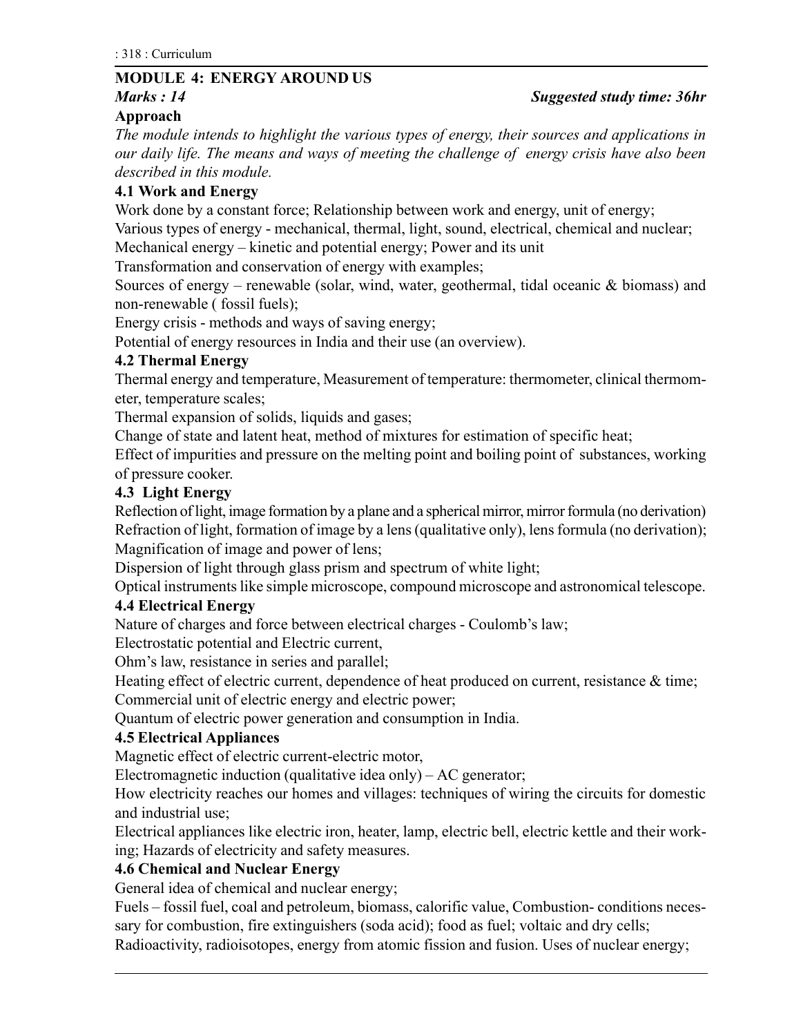## MODULE 4: ENERGY AROUND US

# Approach

The module intends to highlight the various types of energy, their sources and applications in our daily life. The means and ways of meeting the challenge of energy crisis have also been described in this module.

## 4.1 Work and Energy

Work done by a constant force; Relationship between work and energy, unit of energy;

Various types of energy - mechanical, thermal, light, sound, electrical, chemical and nuclear;

Mechanical energy – kinetic and potential energy; Power and its unit

Transformation and conservation of energy with examples;

Sources of energy – renewable (solar, wind, water, geothermal, tidal oceanic  $\&$  biomass) and non-renewable ( fossil fuels);

Energy crisis - methods and ways of saving energy;

Potential of energy resources in India and their use (an overview).

## 4.2 Thermal Energy

Thermal energy and temperature, Measurement of temperature: thermometer, clinical thermometer, temperature scales;

Thermal expansion of solids, liquids and gases;

Change of state and latent heat, method of mixtures for estimation of specific heat;

Effect of impurities and pressure on the melting point and boiling point of substances, working of pressure cooker.

## 4.3 Light Energy

Reflection of light, image formation by a plane and a spherical mirror, mirror formula (no derivation) Refraction of light, formation of image by a lens (qualitative only), lens formula (no derivation); Magnification of image and power of lens;

Dispersion of light through glass prism and spectrum of white light;

Optical instruments like simple microscope, compound microscope and astronomical telescope.

## 4.4 Electrical Energy

Nature of charges and force between electrical charges - Coulomb's law;

Electrostatic potential and Electric current,

Ohm's law, resistance in series and parallel;

Heating effect of electric current, dependence of heat produced on current, resistance & time; Commercial unit of electric energy and electric power;

Quantum of electric power generation and consumption in India.

## 4.5 Electrical Appliances

Magnetic effect of electric current-electric motor,

Electromagnetic induction (qualitative idea only)  $- AC$  generator;

How electricity reaches our homes and villages: techniques of wiring the circuits for domestic and industrial use;

Electrical appliances like electric iron, heater, lamp, electric bell, electric kettle and their working; Hazards of electricity and safety measures.

## 4.6 Chemical and Nuclear Energy

General idea of chemical and nuclear energy;

Fuels – fossil fuel, coal and petroleum, biomass, calorific value, Combustion- conditions necessary for combustion, fire extinguishers (soda acid); food as fuel; voltaic and dry cells;

Radioactivity, radioisotopes, energy from atomic fission and fusion. Uses of nuclear energy;

## Marks : 14 Suggested study time: 36hr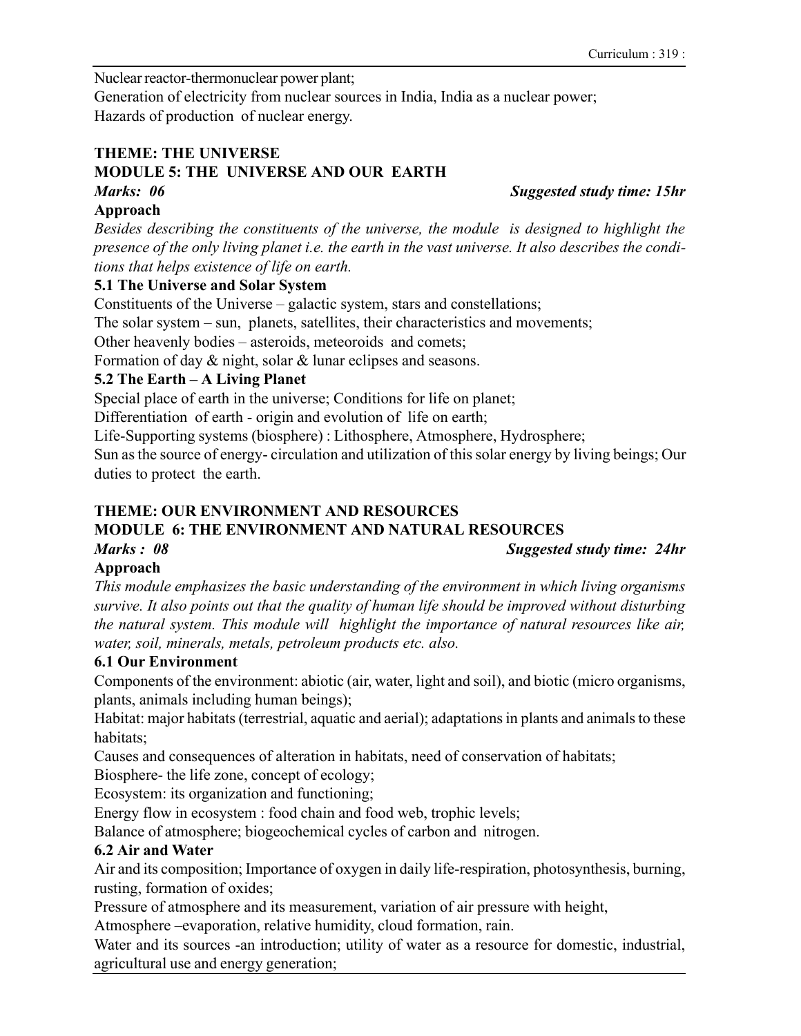Nuclear reactor-thermonuclear power plant;

Generation of electricity from nuclear sources in India, India as a nuclear power; Hazards of production of nuclear energy.

## THEME: THE UNIVERSE

## MODULE 5: THE UNIVERSE AND OUR EARTH

## Marks: 06 Suggested study time: 15hr

Approach

Besides describing the constituents of the universe, the module is designed to highlight the presence of the only living planet i.e. the earth in the vast universe. It also describes the conditions that helps existence of life on earth.

## 5.1 The Universe and Solar System

Constituents of the Universe  $-\theta$  galactic system, stars and constellations;

The solar system  $-$  sun, planets, satellites, their characteristics and movements;

Other heavenly bodies – asteroids, meteoroids and comets;

Formation of day & night, solar & lunar eclipses and seasons.

## 5.2 The Earth  $-$  A Living Planet

Special place of earth in the universe; Conditions for life on planet;

Differentiation of earth - origin and evolution of life on earth;

Life-Supporting systems (biosphere) : Lithosphere, Atmosphere, Hydrosphere;

Sun as the source of energy- circulation and utilization of this solar energy by living beings; Our duties to protect the earth.

## THEME: OUR ENVIRONMENT AND RESOURCES

## MODULE 6: THE ENVIRONMENT AND NATURAL RESOURCES

Marks : 08 Suggested study time: 24hr

## Approach

This module emphasizes the basic understanding of the environment in which living organisms survive. It also points out that the quality of human life should be improved without disturbing the natural system. This module will highlight the importance of natural resources like air, water, soil, minerals, metals, petroleum products etc. also.

## 6.1 Our Environment

Components of the environment: abiotic (air, water, light and soil), and biotic (micro organisms, plants, animals including human beings);

Habitat: major habitats (terrestrial, aquatic and aerial); adaptations in plants and animals to these habitats;

Causes and consequences of alteration in habitats, need of conservation of habitats;

Biosphere- the life zone, concept of ecology;

Ecosystem: its organization and functioning;

Energy flow in ecosystem : food chain and food web, trophic levels;

Balance of atmosphere; biogeochemical cycles of carbon and nitrogen.

## 6.2 Air and Water

Air and its composition; Importance of oxygen in daily life-respiration, photosynthesis, burning, rusting, formation of oxides;

Pressure of atmosphere and its measurement, variation of air pressure with height,

Atmosphere -evaporation, relative humidity, cloud formation, rain.

Water and its sources -an introduction; utility of water as a resource for domestic, industrial, agricultural use and energy generation;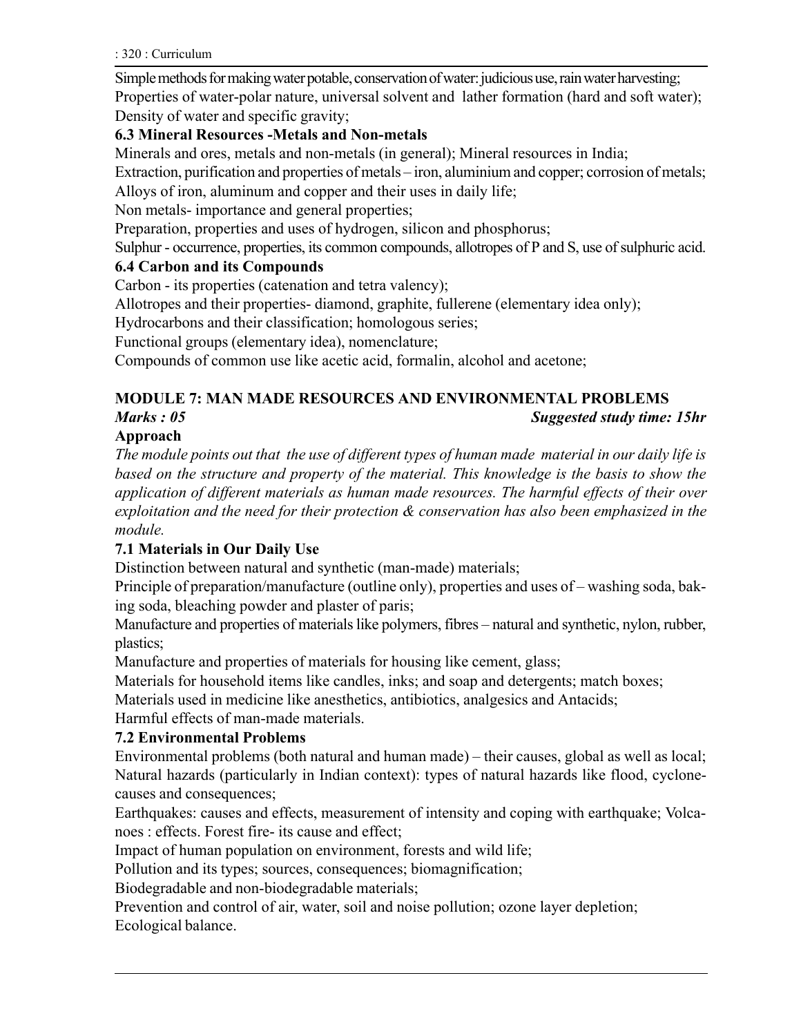: 320 : Curriculum

Simple methods for making water potable, conservation of water: judicious use, rain water harvesting; Properties of water-polar nature, universal solvent and lather formation (hard and soft water); Density of water and specific gravity;

## 6.3 Mineral Resources -Metals and Non-metals

Minerals and ores, metals and non-metals (in general); Mineral resources in India;

Extraction, purification and properties of metals – iron, aluminium and copper; corrosion of metals; Alloys of iron, aluminum and copper and their uses in daily life;

Non metals- importance and general properties;

Preparation, properties and uses of hydrogen, silicon and phosphorus;

Sulphur - occurrence, properties, its common compounds, allotropes of P and S, use of sulphuric acid.

## 6.4 Carbon and its Compounds

Carbon - its properties (catenation and tetra valency);

Allotropes and their properties- diamond, graphite, fullerene (elementary idea only);

Hydrocarbons and their classification; homologous series;

Functional groups (elementary idea), nomenclature;

Compounds of common use like acetic acid, formalin, alcohol and acetone;

## MODULE 7: MAN MADE RESOURCES AND ENVIRONMENTAL PROBLEMS

#### Marks : 05 Suggested study time: 15hr

## Approach

The module points out that the use of different types of human made material in our daily life is based on the structure and property of the material. This knowledge is the basis to show the application of different materials as human made resources. The harmful effects of their over exploitation and the need for their protection & conservation has also been emphasized in the module.

## 7.1 Materials in Our Daily Use

Distinction between natural and synthetic (man-made) materials;

Principle of preparation/manufacture (outline only), properties and uses of – washing soda, baking soda, bleaching powder and plaster of paris;

Manufacture and properties of materials like polymers, fibres – natural and synthetic, nylon, rubber, plastics;

Manufacture and properties of materials for housing like cement, glass;

Materials for household items like candles, inks; and soap and detergents; match boxes;

Materials used in medicine like anesthetics, antibiotics, analgesics and Antacids;

Harmful effects of man-made materials.

## 7.2 Environmental Problems

Environmental problems (both natural and human made) – their causes, global as well as local; Natural hazards (particularly in Indian context): types of natural hazards like flood, cyclonecauses and consequences;

Earthquakes: causes and effects, measurement of intensity and coping with earthquake; Volcanoes : effects. Forest fire- its cause and effect;

Impact of human population on environment, forests and wild life;

Pollution and its types; sources, consequences; biomagnification;

Biodegradable and non-biodegradable materials;

Prevention and control of air, water, soil and noise pollution; ozone layer depletion; Ecological balance.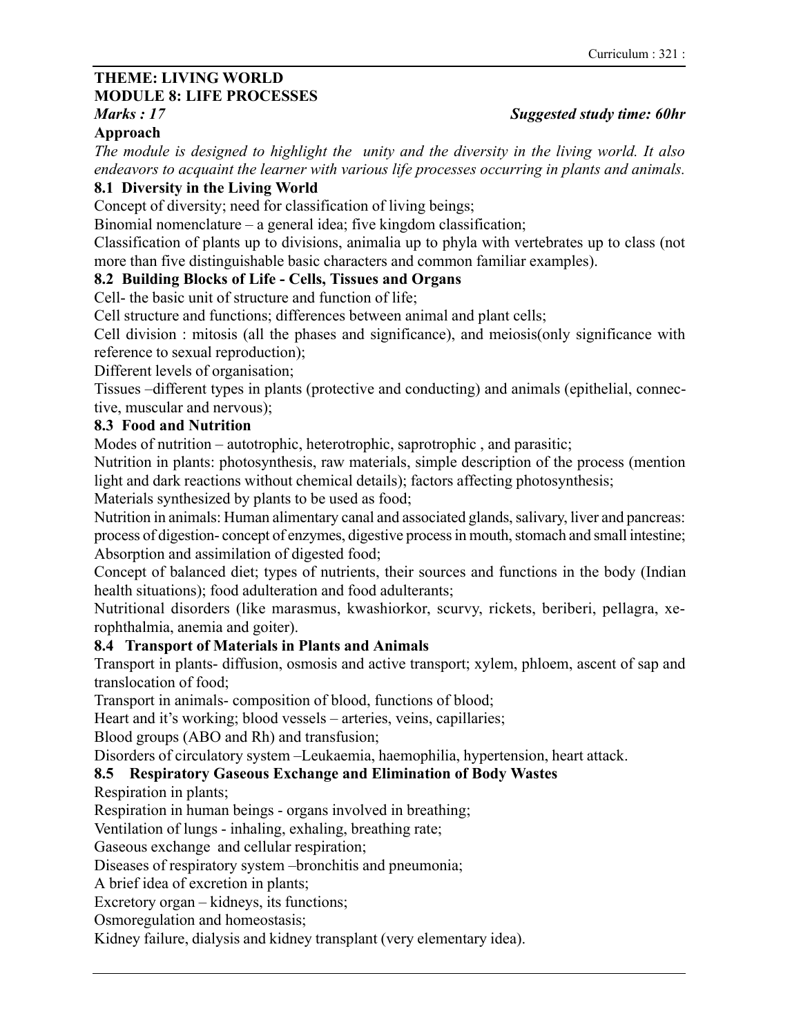## THEME: LIVING WORLD

## MODULE 8: LIFE PROCESSES

## Approach

The module is designed to highlight the unity and the diversity in the living world. It also endeavors to acquaint the learner with various life processes occurring in plants and animals.

## 8.1 Diversity in the Living World

Concept of diversity; need for classification of living beings;

Binomial nomenclature  $-\alpha$  general idea; five kingdom classification;

Classification of plants up to divisions, animalia up to phyla with vertebrates up to class (not more than five distinguishable basic characters and common familiar examples).

## 8.2 Building Blocks of Life - Cells, Tissues and Organs

Cell- the basic unit of structure and function of life;

Cell structure and functions; differences between animal and plant cells;

Cell division : mitosis (all the phases and significance), and meiosis(only significance with reference to sexual reproduction);

Different levels of organisation;

Tissues –different types in plants (protective and conducting) and animals (epithelial, connective, muscular and nervous);

## 8.3 Food and Nutrition

Modes of nutrition  $-\omega$  autotrophic, heterotrophic, saprotrophic, and parasitic;

Nutrition in plants: photosynthesis, raw materials, simple description of the process (mention light and dark reactions without chemical details); factors affecting photosynthesis;

Materials synthesized by plants to be used as food;

Nutrition in animals: Human alimentary canal and associated glands, salivary, liver and pancreas: process of digestion- concept of enzymes, digestive process in mouth, stomach and small intestine; Absorption and assimilation of digested food;

Concept of balanced diet; types of nutrients, their sources and functions in the body (Indian health situations); food adulteration and food adulterants;

Nutritional disorders (like marasmus, kwashiorkor, scurvy, rickets, beriberi, pellagra, xerophthalmia, anemia and goiter).

## 8.4 Transport of Materials in Plants and Animals

Transport in plants- diffusion, osmosis and active transport; xylem, phloem, ascent of sap and translocation of food;

Transport in animals- composition of blood, functions of blood;

Heart and it's working; blood vessels – arteries, veins, capillaries;

Blood groups (ABO and Rh) and transfusion;

Disorders of circulatory system -Leukaemia, haemophilia, hypertension, heart attack.

## 8.5 Respiratory Gaseous Exchange and Elimination of Body Wastes

Respiration in plants;

Respiration in human beings - organs involved in breathing;

Ventilation of lungs - inhaling, exhaling, breathing rate;

Gaseous exchange and cellular respiration;

Diseases of respiratory system – bronchitis and pneumonia;

A brief idea of excretion in plants;

Excretory organ  $-$  kidneys, its functions;

Osmoregulation and homeostasis;

Kidney failure, dialysis and kidney transplant (very elementary idea).

## Marks : 17 Suggested study time: 60hr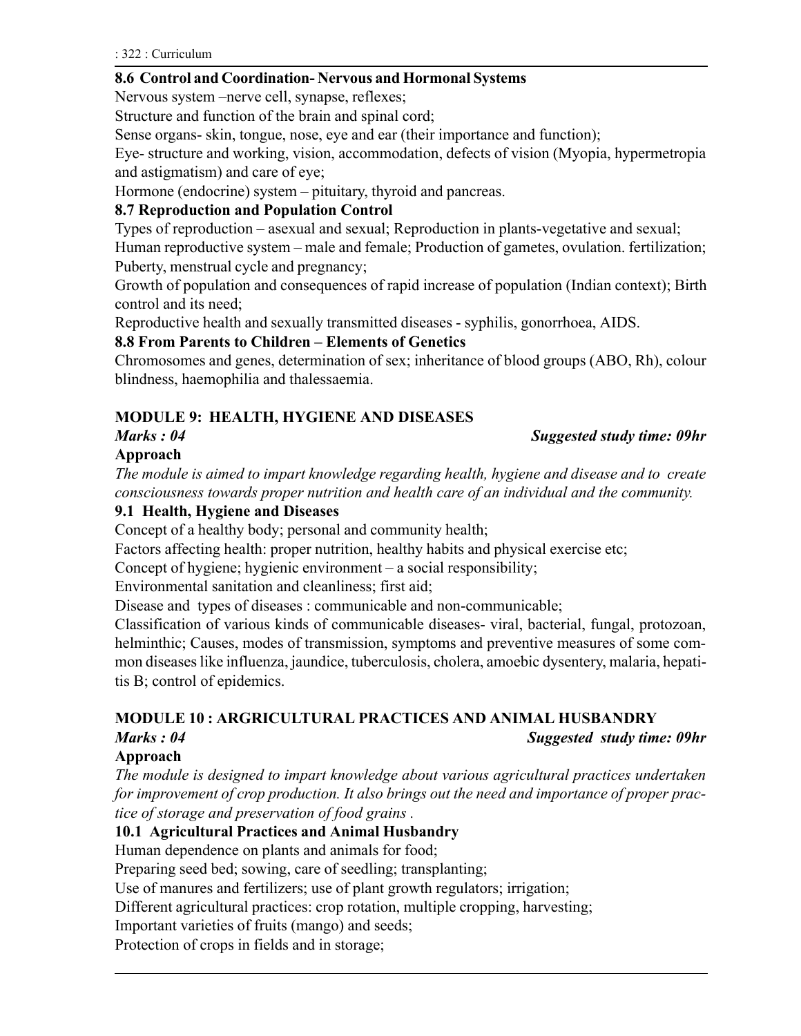#### 8.6 Control and Coordination- Nervous and Hormonal Systems

Nervous system – nerve cell, synapse, reflexes;

Structure and function of the brain and spinal cord;

Sense organs- skin, tongue, nose, eye and ear (their importance and function);

Eye- structure and working, vision, accommodation, defects of vision (Myopia, hypermetropia and astigmatism) and care of eye;

Hormone (endocrine) system – pituitary, thyroid and pancreas.

## 8.7 Reproduction and Population Control

Types of reproduction – asexual and sexual; Reproduction in plants-vegetative and sexual;

Human reproductive system – male and female; Production of gametes, ovulation. fertilization; Puberty, menstrual cycle and pregnancy;

Growth of population and consequences of rapid increase of population (Indian context); Birth control and its need;

Reproductive health and sexually transmitted diseases - syphilis, gonorrhoea, AIDS.

#### 8.8 From Parents to Children - Elements of Genetics

Chromosomes and genes, determination of sex; inheritance of blood groups (ABO, Rh), colour blindness, haemophilia and thalessaemia.

## MODULE 9: HEALTH, HYGIENE AND DISEASES

#### Marks : 04 Suggested study time: 09hr

## Approach

The module is aimed to impart knowledge regarding health, hygiene and disease and to create consciousness towards proper nutrition and health care of an individual and the community.

### 9.1 Health, Hygiene and Diseases

Concept of a healthy body; personal and community health;

Factors affecting health: proper nutrition, healthy habits and physical exercise etc;

Concept of hygiene; hygienic environment  $-$  a social responsibility;

Environmental sanitation and cleanliness; first aid;

Disease and types of diseases : communicable and non-communicable;

Classification of various kinds of communicable diseases- viral, bacterial, fungal, protozoan, helminthic; Causes, modes of transmission, symptoms and preventive measures of some common diseases like influenza, jaundice, tuberculosis, cholera, amoebic dysentery, malaria, hepatitis B; control of epidemics.

## MODULE 10 : ARGRICULTURAL PRACTICES AND ANIMAL HUSBANDRY

#### Marks : 04 Suggested study time: 09hr

## Approach

The module is designed to impart knowledge about various agricultural practices undertaken for improvement of crop production. It also brings out the need and importance of proper practice of storage and preservation of food grains .

## 10.1 Agricultural Practices and Animal Husbandry

Human dependence on plants and animals for food;

Preparing seed bed; sowing, care of seedling; transplanting;

Use of manures and fertilizers; use of plant growth regulators; irrigation;

Different agricultural practices: crop rotation, multiple cropping, harvesting;

Important varieties of fruits (mango) and seeds;

Protection of crops in fields and in storage;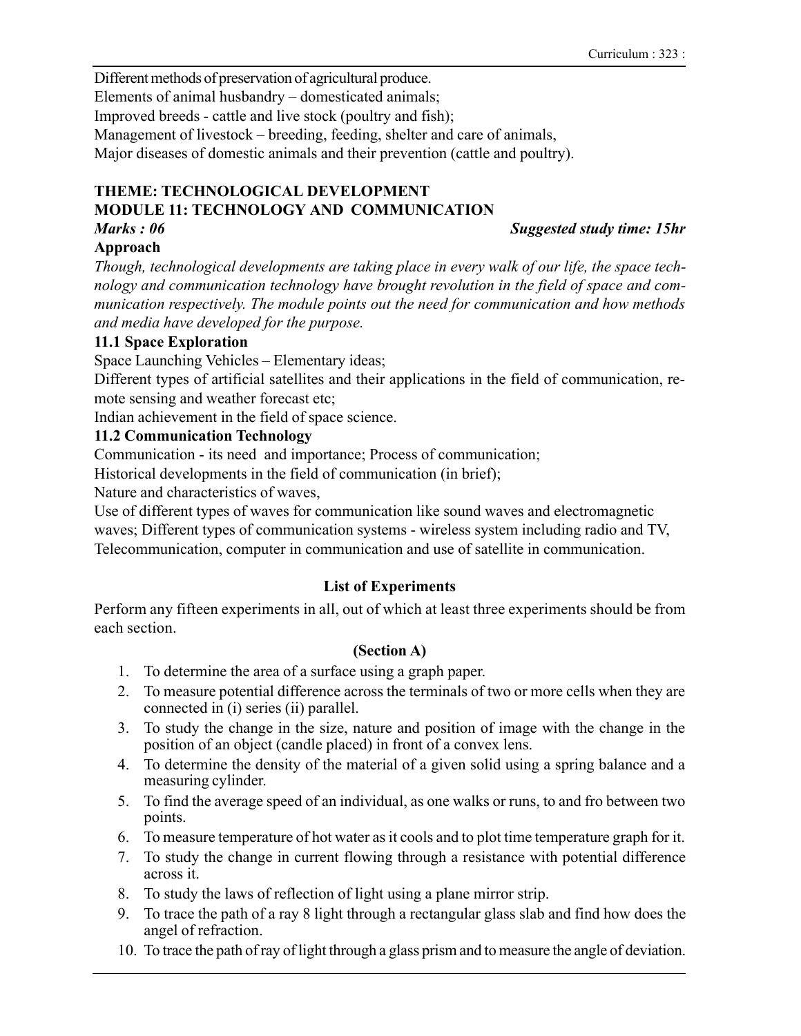Different methods of preservation of agricultural produce. Elements of animal husbandry  $-$  domesticated animals; Improved breeds - cattle and live stock (poultry and fish); Management of livestock – breeding, feeding, shelter and care of animals, Major diseases of domestic animals and their prevention (cattle and poultry).

#### THEME: TECHNOLOGICAL DEVELOPMENT MODULE 11: TECHNOLOGY AND COMMUNICATION

## Marks : 06 Suggested study time: 15hr

## Approach

Though, technological developments are taking place in every walk of our life, the space technology and communication technology have brought revolution in the field of space and communication respectively. The module points out the need for communication and how methods and media have developed for the purpose.

## 11.1 Space Exploration

Space Launching Vehicles – Elementary ideas;

Different types of artificial satellites and their applications in the field of communication, remote sensing and weather forecast etc;

Indian achievement in the field of space science.

## 11.2 Communication Technology

Communication - its need and importance; Process of communication;

Historical developments in the field of communication (in brief);

Nature and characteristics of waves,

Use of different types of waves for communication like sound waves and electromagnetic waves; Different types of communication systems - wireless system including radio and TV, Telecommunication, computer in communication and use of satellite in communication.

## List of Experiments

Perform any fifteen experiments in all, out of which at least three experiments should be from each section.

## (Section A)

- 1. To determine the area of a surface using a graph paper.
- 2. To measure potential difference across the terminals of two or more cells when they are connected in (i) series (ii) parallel.
- 3. To study the change in the size, nature and position of image with the change in the position of an object (candle placed) in front of a convex lens.
- 4. To determine the density of the material of a given solid using a spring balance and a measuring cylinder.
- 5. To find the average speed of an individual, as one walks or runs, to and fro between two points.
- 6. To measure temperature of hot water as it cools and to plot time temperature graph for it.
- 7. To study the change in current flowing through a resistance with potential difference across it.
- 8. To study the laws of reflection of light using a plane mirror strip.
- 9. To trace the path of a ray 8 light through a rectangular glass slab and find how does the angel of refraction.
- 10. To trace the path of ray of light through a glass prism and to measure the angle of deviation.